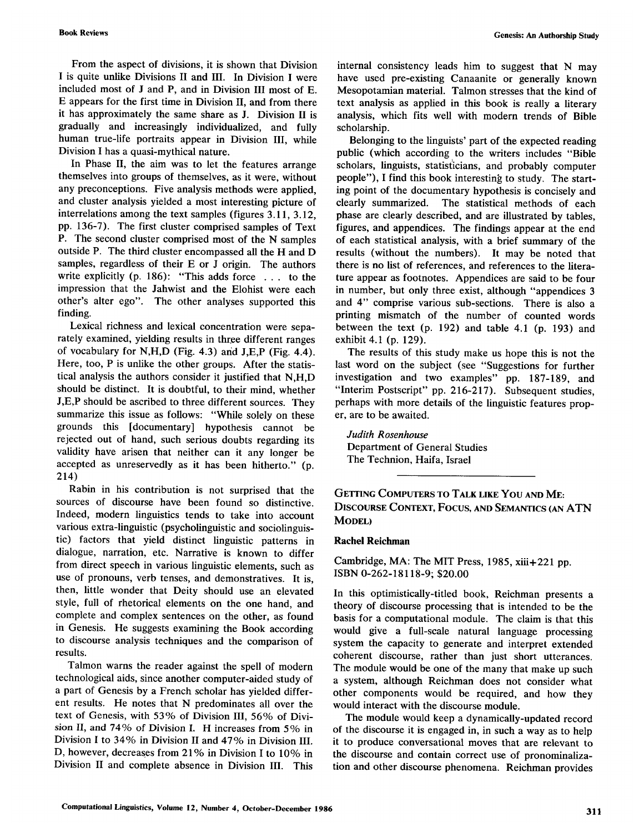**Book Reviews Genesis: An Authorship Study** 

From the aspect of divisions, it is shown that Division I is quite unlike Divisions II and III. In Division I were included most of J and P, and in Division III most of E. E appears for the first time in Division II, and from there it has approximately the same share as J. Division II is gradually and increasingly individualized, and fully human true-life portraits appear in Division III, while Division I has a quasi-mythical nature.

In Phase II, the aim was to let the features arrange themselves into groups of themselves, as it were, without any preconceptions. Five analysis methods were applied, and cluster analysis yielded a most interesting picture of interrelations among the text samples (figures 3.11, 3.12, pp. 136-7). The first cluster comprised samples of Text P. The second cluster comprised most of the N samples outside P. The third cluster encompassed all the H and D samples, regardless of their E or J origin. The authors write explicitly (p. 186): "This adds force . . . to the impression that the Jahwist and the Elohist were each other's alter ego". The other analyses supported this finding.

Lexical richness and lexical concentration were separately examined, yielding results in three different ranges of vocabulary for N,H,D (Fig. 4.3) arid J,E,P (Fig. 4.4). Here, too, P is unlike the other groups. After the statistical analysis the authors consider it justified that N,H,D should be distinct. It is doubtful, to their mind, whether J,E,P should be ascribed to three different sources. They summarize this issue as follows: "While solely on these grounds this [documentary] hypothesis cannot be rejected out of hand, such serious doubts regarding its validity have arisen that neither can it any longer be accepted as unreservedly as it has been hitherto." (p. 214)

Rabin in his contribution is not surprised that the sources of discourse have been found so distinctive. Indeed, modern linguistics tends to take into account various extra-linguistic (psycholinguistic and sociolinguistic) factors that yield distinct linguistic patterns in dialogue, narration, etc. Narrative is known to differ from direct speech in various linguistic elements, such as use of pronouns, verb tenses, and demonstratives. It is, then, little wonder that Deity should use an elevated style, full of rhetorical elements on the one hand, and complete and complex sentences on the other, as found in Genesis. He suggests examining the Book according to discourse analysis techniques and the comparison of results.

Talmon warns the reader against the spell of modern technological aids, since another computer-aided study of a part of Genesis by a French scholar has yielded different results. He notes that N predominates all over the text of Genesis, with 53% of Division III, 56% of Division II, and 74% of Division I. H increases from 5% in Division I to 34% in Division II and 47% in Division III. D, however, decreases from 21% in Division I to 10% in Division II and complete absence in Division III. This

internal consistency leads him to suggest that N may have used pre-existing Canaanite or generally known Mesopotamian material. Talmon stresses that the kind of text analysis as applied in this book is really a literary analysis, which fits well with modern trends of Bible scholarship.

Belonging to the linguists' part of the expected reading public (which according to the writers includes "Bible scholars, linguists, statisticians, and probably computer people"), I find this book interesting to study. The starting point of the documentary hypothesis is concisely and clearly summarized. The statistical methods of each phase are clearly described, and are illustrated by tables, figures, and appendices. The findings appear at the end of each statistical analysis, with a brief summary of the results (without the numbers). It may be noted that there is no list of references, and references to the literature appear as footnotes. Appendices are said to be four in number, but only three exist, although "appendices 3 and 4" comprise various sub-sections. There is also a printing mismatch of the number of counted words between the text (p. 192) and table 4.1 (p. 193) and exhibit 4.1 (p. 129).

The results of this study make us hope this is not the last word on the subject (see "Suggestions for further investigation and two examples" pp. 187-189, and "Interim Postscript" pp. 216-217). Subsequent studies, perhaps with more details of the linguistic features proper, are to be awaited.

*Judith Rosenhouse*  Department of General Studies The Technion, Haifa, Israel

GETTING COMPUTERS TO TALK LIKE YOU AND ME: DISCOURSE CONTEXT, FOCUS, AND SEMANTICS (AN ATN MODEL)

#### **Rachel Reichman**

Cambridge, MA: The MIT Press, 1985, xiii+221 pp. ISBN 0-262-18118-9, \$20.00

In this optimistically-titled book, Reichman presents a theory of discourse processing that is intended to be the basis for a computational module. The claim is that this would give a full-scale natural language processing system the capacity to generate and interpret extended coherent discourse, rather than just short utterances. The module would be one of the many that make up such a system, although Reichman does not consider what other components would be required, and how they would interact with the discourse module.

The module would keep a dynamically-updated record of the discourse it is engaged in, in such a way as to help it to produce conversational moves that are relevant to the discourse and contain correct use of pronominalization and other discourse phenomena. Reichman provides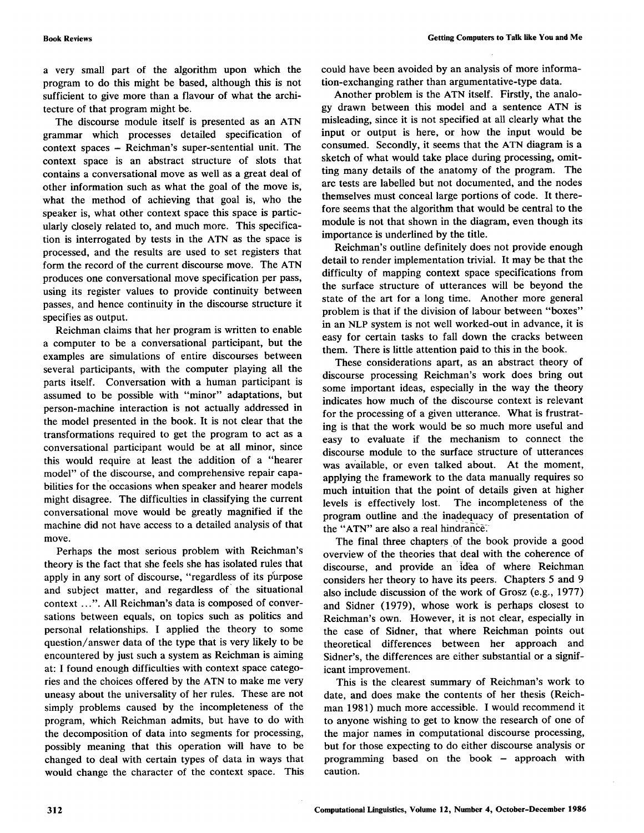a very small part of the algorithm upon which the program to do this might be based, although this is not sufficient to give more than a flavour of what the architecture of that program might be.

The discourse module itself is presented as an ATN grammar which processes detailed specification of context spaces - Reichman's super-sentential unit. The context space is an abstract structure of slots that contains a conversational move as well as a great deal of other information such as what the goal of the move is, what the method of achieving that goal is, who the speaker is, what other context space this space is particularly closely related to, and much more. This specification is interrogated by tests in the ATN as the space is processed, and the results are used to set registers that form the record of the current discourse move. The ATN produces one conversational move specification per pass, using its register values to provide continuity between passes, and hence continuity in the discourse structure it specifies as output.

Reichman claims that her program is written to enable a computer to be a conversational participant, but the examples are simulations of entire discourses between several participants, with the computer playing all the parts itself. Conversation with a human participant is assumed to be possible with "minor" adaptations, but person-machine interaction is not actually addressed in the model presented in the book. It is not clear that the transformations required to get the program to act as a conversational participant would be at all minor, since this would require at least the addition of a "hearer model" of the discourse, and comprehensive repair capabilities for the occasions when speaker and hearer models might disagree. The difficulties in classifying the current conversational move would be greatly magnified if the machine did not have access to a detailed analysis of that move.

Perhaps the most serious problem with Reichman's theory is the fact that she feels she has isolated rules that apply in any sort of discourse, "regardless of its purpose and subject matter, and regardless of' the situational context ...". All Reichman's data is composed of conversations between equals, on topics such as politics and personal relationships. I applied the theory to some question/answer data of the type that is very likely to be encountered by just such a system as Reichman is aiming at: I found enough difficulties with context space categories and the choices offered by the ATN to make me very uneasy about the universality of her rules. These are not simply problems caused by the incompleteness of the program, which Reichman admits, but have to do with the decomposition of data into segments for processing, possibly meaning that this operation will have to be changed to deal with certain types of data in ways that would change the character of the context space. This could have been avoided by an analysis of more information-exchanging rather than argumentative-type data.

Another problem is the ATN itself. Firstly, the analogy drawn between this model and a sentence ATN is misleading, since it is not specified at all clearly what the input or output is here, or how the input would be consumed. Secondly, it seems that the ATN diagram is a sketch of what would take place during processing, omitting many details of the anatomy of the program. The arc tests are labelled but not documented, and the nodes themselves must conceal large portions of code. It therefore seems that the algorithm that would be central to the module is not that shown in the diagram, even though its importance is underlined by the title.

Reichman's outline definitely does not provide enough detail to render implementation trivial. It may be that the difficulty of mapping context space specifications from the surface structure of utterances will be beyond the state of the art for a long time. Another more general problem is that if the division of labour between "boxes" in an NLP system is not well worked-out in advance, it is easy for certain tasks to fall down the cracks between them. There is little attention paid to this in the book.

These considerations apart, as an abstract theory of discourse processing Reichman's work does bring out some important ideas, especially in the way the theory indicates how much of the discourse context is relevant for the processing of a given utterance. What is frustrating is that the work would be so much more useful and easy to evaluate if the mechanism to connect the discourse module to the surface structure of utterances was available, or even talked about. At the moment, applying the framework to the data manually requires so much intuition that the point of details given at higher levels is effectively lost. The incompleteness of the program outline and the inadequacy of presentation of the "ATN" are also a real hindrance.

The final three chapters of the book provide a good overview of the theories that deal with the coherence of discourse, and provide an idea of where Reichman considers her theory to have its peers. Chapters 5 and 9 also include discussion of the work of Grosz (e.g., 1977) and Sidner (1979), whose work is perhaps closest to Reichman's own. However, it is not clear, especially in the case of Sidner, that where Reichman points out theoretical differences between her approach and Sidner's, the differences are either substantial or a significant improvement.

This is the clearest summary of Reichman's work to date, and does make the contents of her thesis (Reichman 1981) much more accessible. I would recommend it to anyone wishing to get to know the research of one of the major names in computational discourse processing, but for those expecting to do either discourse analysis or programming based on the book – approach with caution.